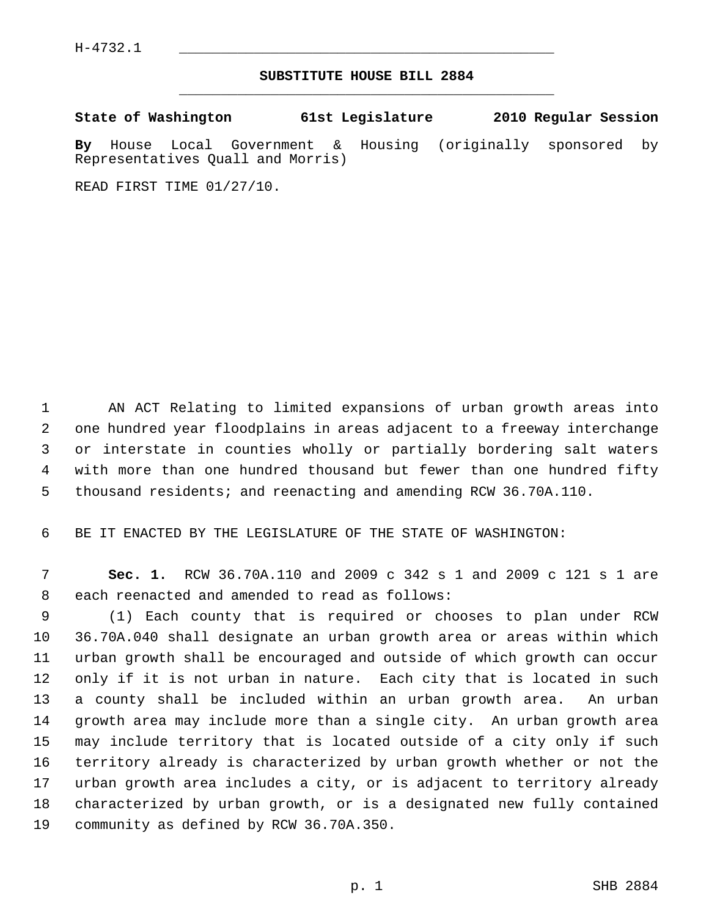## **SUBSTITUTE HOUSE BILL 2884** \_\_\_\_\_\_\_\_\_\_\_\_\_\_\_\_\_\_\_\_\_\_\_\_\_\_\_\_\_\_\_\_\_\_\_\_\_\_\_\_\_\_\_\_\_

**State of Washington 61st Legislature 2010 Regular Session**

**By** House Local Government & Housing (originally sponsored by Representatives Quall and Morris)

READ FIRST TIME 01/27/10.

 1 AN ACT Relating to limited expansions of urban growth areas into 2 one hundred year floodplains in areas adjacent to a freeway interchange 3 or interstate in counties wholly or partially bordering salt waters 4 with more than one hundred thousand but fewer than one hundred fifty 5 thousand residents; and reenacting and amending RCW 36.70A.110.

6 BE IT ENACTED BY THE LEGISLATURE OF THE STATE OF WASHINGTON:

 7 **Sec. 1.** RCW 36.70A.110 and 2009 c 342 s 1 and 2009 c 121 s 1 are 8 each reenacted and amended to read as follows:

 9 (1) Each county that is required or chooses to plan under RCW 10 36.70A.040 shall designate an urban growth area or areas within which 11 urban growth shall be encouraged and outside of which growth can occur 12 only if it is not urban in nature. Each city that is located in such 13 a county shall be included within an urban growth area. An urban 14 growth area may include more than a single city. An urban growth area 15 may include territory that is located outside of a city only if such 16 territory already is characterized by urban growth whether or not the 17 urban growth area includes a city, or is adjacent to territory already 18 characterized by urban growth, or is a designated new fully contained 19 community as defined by RCW 36.70A.350.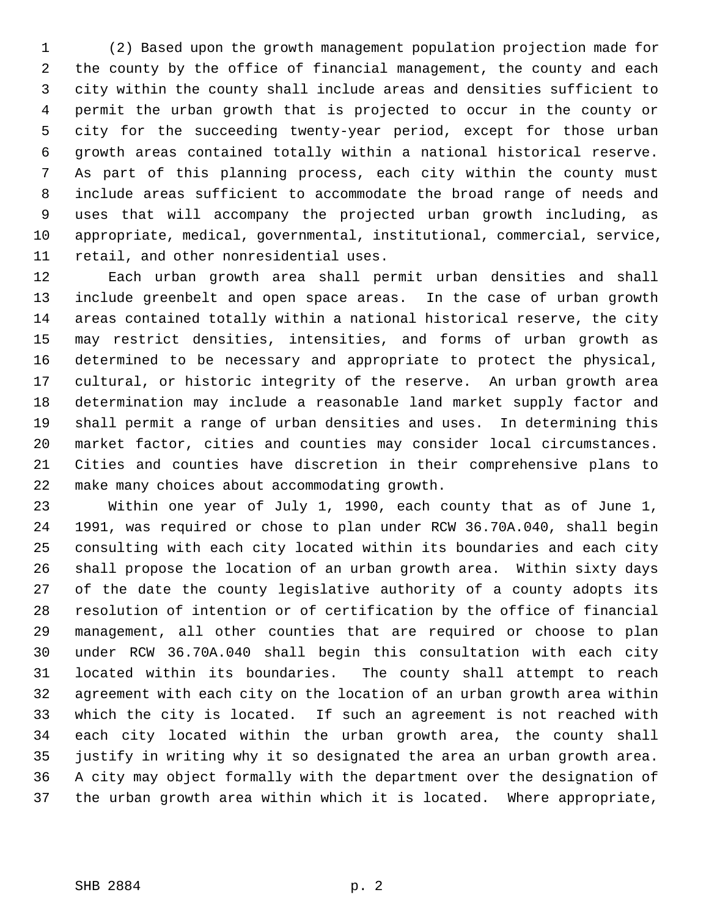1 (2) Based upon the growth management population projection made for 2 the county by the office of financial management, the county and each 3 city within the county shall include areas and densities sufficient to 4 permit the urban growth that is projected to occur in the county or 5 city for the succeeding twenty-year period, except for those urban 6 growth areas contained totally within a national historical reserve. 7 As part of this planning process, each city within the county must 8 include areas sufficient to accommodate the broad range of needs and 9 uses that will accompany the projected urban growth including, as 10 appropriate, medical, governmental, institutional, commercial, service, 11 retail, and other nonresidential uses.

12 Each urban growth area shall permit urban densities and shall 13 include greenbelt and open space areas. In the case of urban growth 14 areas contained totally within a national historical reserve, the city 15 may restrict densities, intensities, and forms of urban growth as 16 determined to be necessary and appropriate to protect the physical, 17 cultural, or historic integrity of the reserve. An urban growth area 18 determination may include a reasonable land market supply factor and 19 shall permit a range of urban densities and uses. In determining this 20 market factor, cities and counties may consider local circumstances. 21 Cities and counties have discretion in their comprehensive plans to 22 make many choices about accommodating growth.

23 Within one year of July 1, 1990, each county that as of June 1, 24 1991, was required or chose to plan under RCW 36.70A.040, shall begin 25 consulting with each city located within its boundaries and each city 26 shall propose the location of an urban growth area. Within sixty days 27 of the date the county legislative authority of a county adopts its 28 resolution of intention or of certification by the office of financial 29 management, all other counties that are required or choose to plan 30 under RCW 36.70A.040 shall begin this consultation with each city 31 located within its boundaries. The county shall attempt to reach 32 agreement with each city on the location of an urban growth area within 33 which the city is located. If such an agreement is not reached with 34 each city located within the urban growth area, the county shall 35 justify in writing why it so designated the area an urban growth area. 36 A city may object formally with the department over the designation of 37 the urban growth area within which it is located. Where appropriate,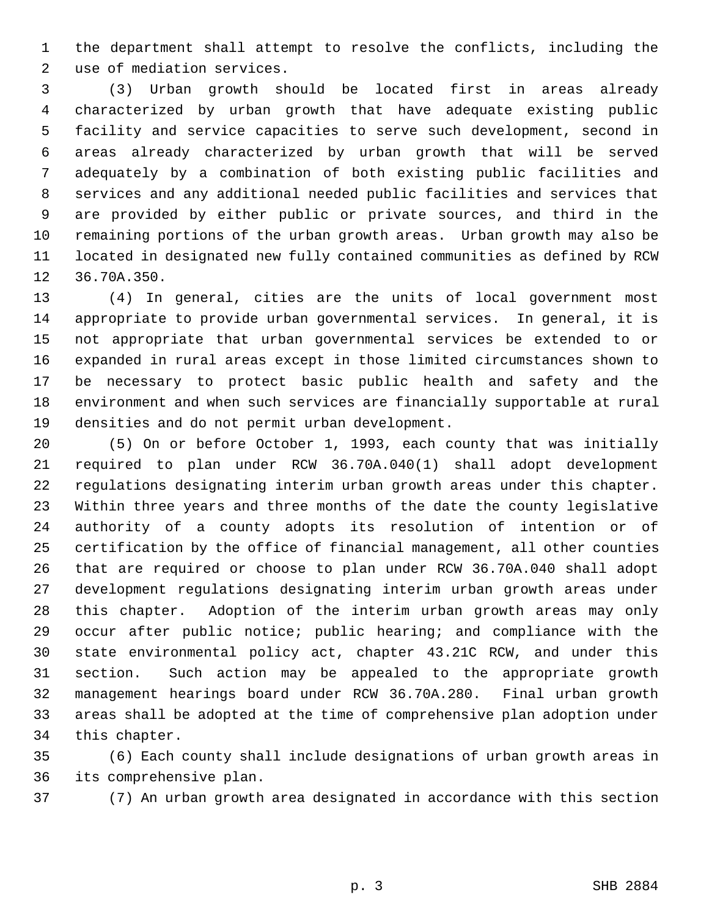1 the department shall attempt to resolve the conflicts, including the 2 use of mediation services.

 3 (3) Urban growth should be located first in areas already 4 characterized by urban growth that have adequate existing public 5 facility and service capacities to serve such development, second in 6 areas already characterized by urban growth that will be served 7 adequately by a combination of both existing public facilities and 8 services and any additional needed public facilities and services that 9 are provided by either public or private sources, and third in the 10 remaining portions of the urban growth areas. Urban growth may also be 11 located in designated new fully contained communities as defined by RCW 12 36.70A.350.

13 (4) In general, cities are the units of local government most 14 appropriate to provide urban governmental services. In general, it is 15 not appropriate that urban governmental services be extended to or 16 expanded in rural areas except in those limited circumstances shown to 17 be necessary to protect basic public health and safety and the 18 environment and when such services are financially supportable at rural 19 densities and do not permit urban development.

20 (5) On or before October 1, 1993, each county that was initially 21 required to plan under RCW 36.70A.040(1) shall adopt development 22 regulations designating interim urban growth areas under this chapter. 23 Within three years and three months of the date the county legislative 24 authority of a county adopts its resolution of intention or of 25 certification by the office of financial management, all other counties 26 that are required or choose to plan under RCW 36.70A.040 shall adopt 27 development regulations designating interim urban growth areas under 28 this chapter. Adoption of the interim urban growth areas may only 29 occur after public notice; public hearing; and compliance with the 30 state environmental policy act, chapter 43.21C RCW, and under this 31 section. Such action may be appealed to the appropriate growth 32 management hearings board under RCW 36.70A.280. Final urban growth 33 areas shall be adopted at the time of comprehensive plan adoption under 34 this chapter.

35 (6) Each county shall include designations of urban growth areas in 36 its comprehensive plan.

37 (7) An urban growth area designated in accordance with this section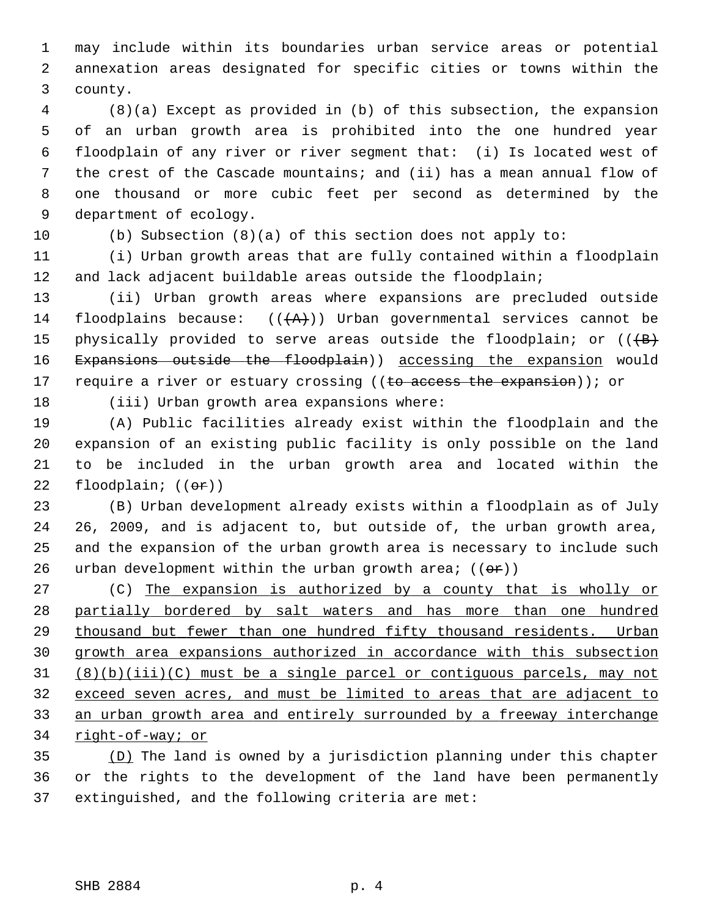1 may include within its boundaries urban service areas or potential 2 annexation areas designated for specific cities or towns within the 3 county.

 4 (8)(a) Except as provided in (b) of this subsection, the expansion 5 of an urban growth area is prohibited into the one hundred year 6 floodplain of any river or river segment that: (i) Is located west of 7 the crest of the Cascade mountains; and (ii) has a mean annual flow of 8 one thousand or more cubic feet per second as determined by the 9 department of ecology.

10 (b) Subsection (8)(a) of this section does not apply to:

11 (i) Urban growth areas that are fully contained within a floodplain 12 and lack adjacent buildable areas outside the floodplain;

13 (ii) Urban growth areas where expansions are precluded outside 14 floodplains because:  $((+A))$  Urban governmental services cannot be 15 physically provided to serve areas outside the floodplain; or  $((+B)$ 16 Expansions outside the floodplain)) accessing the expansion would 17 require a river or estuary crossing ((to access the expansion)); or

18 (iii) Urban growth area expansions where:

19 (A) Public facilities already exist within the floodplain and the 20 expansion of an existing public facility is only possible on the land 21 to be included in the urban growth area and located within the 22 floodplain;  $((\theta \cdot \hat{r}))$ 

23 (B) Urban development already exists within a floodplain as of July 24 26, 2009, and is adjacent to, but outside of, the urban growth area, 25 and the expansion of the urban growth area is necessary to include such 26 urban development within the urban growth area;  $((\theta \hat{r}))$ 

27 (C) The expansion is authorized by a county that is wholly or partially bordered by salt waters and has more than one hundred thousand but fewer than one hundred fifty thousand residents. Urban growth area expansions authorized in accordance with this subsection  $(8)(b)(iii)(c)$  must be a single parcel or contiguous parcels, may not exceed seven acres, and must be limited to areas that are adjacent to an urban growth area and entirely surrounded by a freeway interchange right-of-way; or

35 (D) The land is owned by a jurisdiction planning under this chapter 36 or the rights to the development of the land have been permanently 37 extinguished, and the following criteria are met: